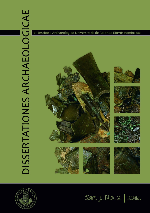# DISSERTATIONES ARCHAEOLOGICAE



















Ser. 3. No. 2. 2014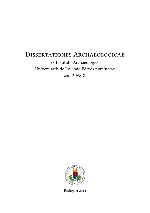# DISSERTATIONES ARCHAEOLOGICAE

ex Instituto Archaeologico Universitatis de Rolando Eötvös nominatae Ser. 3. No. 2.



Budapest 2014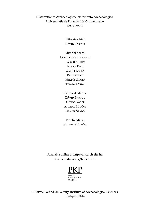Dissertationes Archaeologicae ex Instituto Archaeologico Universitatis de Rolando Eötvös nominatae Ser. 3. No. 2.

> Editor-in-chief: Dávid Bartus

Editorial board: László Bartosiewicz László Borhy István Feld Gábor Kalla Pál Raczky Miklós Szabó Tivadar Vida

Technical editors: Dávid Bartus Gábor Váczi András Bödőcs Dániel Szabó

Proofreading: Szilvia Szöllősi

Available online at http://dissarch.elte.hu Contact: dissarch@btk.elte.hu



© Eötvös Loránd University, Institute of Archaeological Sciences Budapest 2014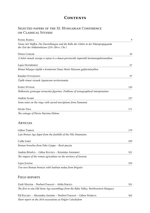# **CONTENTS**

# Selected papers of the XI. Hungarian Conference on Classical Studies

| Ferenc BARNA                                                                                                                        | 9   |
|-------------------------------------------------------------------------------------------------------------------------------------|-----|
| Venus mit Waffen. Die Darstellungen und die Rolle der Göttin in der Münzpropaganda<br>der Zeit der Soldatenkaiser (235–284 n. Chr.) |     |
| Dénes GABLER                                                                                                                        | 45  |
| A belső vámok szerepe a rajnai és a dunai provinciák importált kerámiaspektrumában                                                  |     |
| Lajos MATHÉDESZ                                                                                                                     | 67  |
| Római bélyeges téglák a komáromi Duna Menti Múzeum gyűjteményében                                                                   |     |
| Katalin OTTOMÁNYI                                                                                                                   | 97  |
| Újabb római vicusok Aquincum territoriumán                                                                                          |     |
| Eszter SÜVEGH                                                                                                                       | 143 |
| Hellenistic grotesque terracotta figurines. Problems of iconographical interpretation                                               |     |
| András Szabó                                                                                                                        | 157 |
| Some notes on the rings with sacred inscriptions from Pannonia                                                                      |     |
| István VIDA                                                                                                                         | 171 |
| The coinage of Flavia Maxima Helena                                                                                                 |     |
| Articles                                                                                                                            |     |
| Gábor TARBAY                                                                                                                        | 179 |
| Late Bronze Age depot from the foothills of the Pilis Mountains                                                                     |     |
| Csilla SÁRÓ                                                                                                                         | 299 |
| Roman brooches from Paks-Gyapa – Rosti-puszta                                                                                       |     |
| András Bödőcs – Gábor Kovács – Krisztián Anderkó                                                                                    | 321 |
| The impact of the roman agriculture on the territory of Savaria                                                                     |     |
| Lajos JUHÁSZ                                                                                                                        | 333 |
| Two new Roman bronzes with Suebian nodus from Brigetio                                                                              |     |
| FIELD REPORTS                                                                                                                       |     |
| Zsolt Mester – Norbert Faragó – Attila Király                                                                                       | 351 |
| The first in situ Old Stone Age assemblage from the Rába Valley, Northwestern Hungary                                               |     |

Pál RACZKY – Alexandra ANDERS – Norbert FARAGÓ – Gábor MÁRKUS 363 Short report on the 2014 excavations at Polgár-Csőszhalom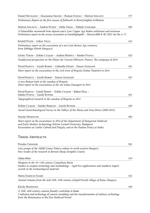| Daniel Neumann - Zsuzsanna SIKLÓSI - Roman SCHOLZ - Márton SZILÁGYI                                                                                                                                | 377 |
|----------------------------------------------------------------------------------------------------------------------------------------------------------------------------------------------------|-----|
| Preliminary Report on the first season of fieldwork in Berettyóújfalu-Szilhalom                                                                                                                    |     |
| Márton Szilágyi – András Füzesi – Attila Virág – Mihály Gasparik                                                                                                                                   | 405 |
| A Palaeolithic mammoth bone deposit and a Late Copper Age Baden settlement and enclosure<br>Preliminary report on the rescue excavation at Szurdokpüspöki – Hosszú-dűlő II–III. (M21 site No. 6–7) |     |
| Kristóf Fülöp - Gábor Váczı                                                                                                                                                                        | 413 |
| Preliminary report on the excavation of a new Late Bronze Age cemetery<br>from Jobbágyi (North Hungary)                                                                                            |     |
| Lőrinc TIMÁR – Zoltán Czajlik – András Bödőcs – Sándor Puszta                                                                                                                                      | 423 |
| Geophysical prospection on the Pâture du Couvent (Bibracte, France). The campaign of 2014                                                                                                          |     |
| Dávid BARTUS - László BORHY - Gabriella DELBÓ - Emese SZÁMADÓ                                                                                                                                      | 431 |
| Short report on the excavations in the civil town of Brigetio (Szőny-Vásártér) in 2014                                                                                                             |     |
| Dávid BARTUS - László BORHY - Emese SzÁMADÓ                                                                                                                                                        | 437 |
| A new Roman bath in the canabae of Brigetio                                                                                                                                                        |     |
| Short report on the excavations at the site Szőny-Dunapart in 2014                                                                                                                                 |     |
| Dávid BARTUS - László BORHY - Zoltán CzAJLIK - Balázs HOLL -<br>Sándor Puszta - László Rupnik                                                                                                      | 451 |
| Topographical research in the canabae of Brigetio in 2014                                                                                                                                          |     |
| Zoltán Czajlik - Sándor BERECKI - László RUPNIK                                                                                                                                                    | 459 |
| Aerial Geoarchaeological Survey in the Valleys of the Mureş and Arieş Rivers (2009-2013)                                                                                                           |     |
| <b>Maxim MORDOVIN</b>                                                                                                                                                                              | 485 |
| Short report on the excavations in 2014 of the Department of Hungarian Medieval                                                                                                                    |     |
| and Early Modern Archaeology (Eötvös Loránd University, Budapest)                                                                                                                                  |     |
| Excavations at Castles Čabraď and Drégely, and at the Pauline Friary at Sáska                                                                                                                      |     |
| THESIS ABSTRACTS                                                                                                                                                                                   |     |
|                                                                                                                                                                                                    |     |
| Piroska CSENGERI                                                                                                                                                                                   | 501 |
| Late groups of the Alföld Linear Pottery culture in north-eastern Hungary<br>New results of the research in Borsod-Abaúj-Zemplén County                                                            |     |
| Ádám Bíró                                                                                                                                                                                          | 519 |
| Weapons in the 10-11th century Carpathian Basin<br>Studies in weapon technology and methodology – rigid bow applications and southern import<br>swords in the archaeological material              |     |
| Márta DARÓCZI-SZABÓ                                                                                                                                                                                | 541 |
| Animal remains from the mid 12th–13th century (Árpád Period) village of Kána, Hungary                                                                                                              |     |
| Károly BELÉNYESY                                                                                                                                                                                   | 549 |
| A 15th-16th century cannon foundry workshop in Buda<br>Craftsmen and technology of cannon moulding and the transformation of military technology                                                   |     |

from the Renaissance to the Post Medieval Period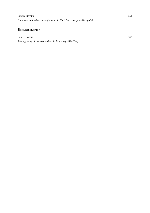Manorial and urban manufactories in the 17th century in Sárospatak

## **BIBLIOGRAPHY**

László Borhy 565

Bibliography of the excavations in Brigetio (1992–2014)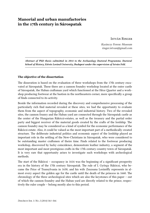# **Manorial and urban manufactories in the 17th century in Sárospatak**

István Ringer

Kazinczy Ferenc Museum ringer.istvan@gmail.com

Abstract of PhD thesis submitted in 2014 to the Archaeology Doctoral Programme, Doctoral School of History, Eötvös Loránd University, Budapest under the supervision of István Feld.

### **The objective of the dissertation**

The disseration is based on the evaluation of three workshops from the 17th century excavated at Sárospatak. These three are a cannon foundry workshop located at the outer castle of Sárospatak, the Haban craftsman yard which functioned at the Héce Quarter and a workshop producing footwear at the bastion in the northeastern corner, more specifically a group of finds connected to its activity.

Beside the information recorded during the discovery and comprehensive processing of the particularly rich find material revealed at these sites, we had the opportunity to evaluate them from the aspect of topography, economic and industrial history. Two of the revealed sites, the cannon founry and the Haban yard are connected through the Sárospatak castle as the center of the Hungarian Rákóczi-estates, as well as the treasury and the partial order party and biggest receiver of the material goods created by the crafts of the lordship. The cannon foundry may be considered as a kind of symbol for the economic performance of the Rákóczi-estate. Also, it could be valued as the most important part of a methodically created structure. The deliberate industrial politics and economic aspect of the lordship played an important role in the settling of the New-Christians in Sárospatak, who were considered to be outstanding master craftsmen of theire time. Finds related to the footwear producing workshop, discovered by lucky coincidence, demonstrate leather industry, a segment of the most important and most prestigious crafts in the 17th century country town of Sárospatak. It is very rare that opportunity arises to investigate such workshops with archeological methods.

The start of the Rákóczi – occupancy in 1616 was the beginning of a significant prosperity era in the history of the 17th century Sárospatak. The rule of I. György Rákóczi, who became the Price of Transylvania in 1630, and his wife Zsuzsana Lorántffy represents in almost every aspect the golden age for the castle until the death of the princess in 1660. The chronology of the three archeological sites which are also the keystones of this paper – out of which the cannon foundry and the Haban yard are directly related to the prince, respectively the ruler couple – belong mostly also to this period.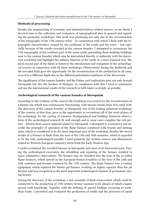### **Methods of processing**

Besides the summarizing of economic and industrial history-related sources, in my thesis I devoted time to the collection and evaluation of topographycal data in general and regarding the particular workshops. This work was promising not only due to the reconstruction of the topography of the 17th century town – in connetction with which I dealt with the topographic characteristics created by the symbiosis of the castle and the town – but especially because of the results revealed in the cannon foundry. I attempted to reconstruct the 17th topography of the southern part of the outer castle, presenting those lordship buildings near to the cannon foundry which may be interrelated directly or indirectly with the discovered workshop and highlight the military function of the castle in a more nuanced way. The most crucial part of the thesis is however the introduction and evaluation of the archeological sources in connection with all three workshops. Observations during the fieldwork and the revealed finds gave the opportunity for the reconstruction of the production in all cases, even if to a different depth due to the different potentialss/conditions of the discoveries.

The significance of the cannon foundry and the Haban yard exploration goes not only beyond Sárospatak but also the borders of Hungary. In compliance with this I tried to summarize and use the international results of the research in both topics as deeply as possible.

### **Archeological research of the cannon foundry at Sárospatak**

According to the evidence of the sources the workshop was created by the reconstruction of a former one which was continuously functioning, with shorter breaks from 1631 until 1648. The discovery of the cannon foundry at Sárospatak, one of the leading industrial workshops of the country at that time, gave us the opportunity to reconstruct all of the work phases of the technology for the casting of cannons. Stratigraphical and building historical observations of the archeological research fit well enough and in some cases complete the rich picture – known from source material related to Sárospatak. I attempted to reconstruct and describe the principles of operation of the flame furnace combined with brazier and melting space which is considered to be the most important part of the workshop. Besides the recent results of a furnace in Buda from the turn of the 15th and 16th centuries, which is regarded to be the only archeological parallel, I used primarily the written sources and illustrations related to Western-European cannonry tracts from the Early Modern Age.

I could reconstruct the revealed furnace in Sárospatak and most of its functional parts. During the archeological excavation the rebuilding and repairing of the furnace resulted in many substantive observations. The furnace may be classified into the type of the so-called flame furnaces, which spread in the European bronze foundries at the turn of the 15th and 16th centuries and became common by the 17th century. The flame furnace was a casting equipment which replaced the former pit furnace, working on higher capacity than the pit furnace and was recognized as the most important technological element of permanent casting houses.

During the discovery of the workshop, a rich assembly of finds wasrevealed, which could be connected to the production of 17th century bronze cannons work phases of which require special craft knowledge. Together with the defining of special findings occurring as workshop waste, I presented and evaluated the production of molds and the processes of metal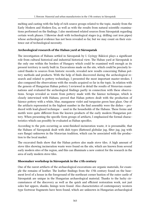melting and casting with the help of rich source groups related to the topic, mainly from the Early Modern and Modern Era, as well as with the results from natural scientific examinations performed on the findings. I also mentioned related sources from Sárospatak regarding certain work phases. I likewise dealt with technological stages (e.g. drilling cast iron pipes) whose archeological evidence has not been revealed so far, but we may count on their existence out of technological necessity.

### **Archeological research of the Haban yard at Sárospatak**

The investigation of Habans settled in Sárospatak by I. György Rákóczi plays a significant role from cultural historical and industrial historical view. The Haban yard at Sárospatak is the only one within the borders of Hungary which could be examined well enough as its present territory is rarely built in. Excavations made on the site, which could be precisely located thanks to sources from historic records, revealed new results concerning Haban pottery methods and products. With the help of finds discovered during the archeological research and related to pottery technology, I presented the most important master-strokes. I also compared the observations with the results acquired so far in the topic. In relation with the genesis of Hungarian Haban pottery I reviewed in detail the results of Moravian examinations and evaluated the archeological findings partly in connection with these observations. Scraps revealed as waste from pottery made with the faience technique, which is closely interwined with Habans, proved that Haban potters dealt with the production of faience pottery with a white, blue, manganese violet and turquoise green base glaze. One of the artifacts represented in the highest number in the find assembly were the dishes – produced with lead-glazed technique – used in the households of the Habans. These forms and motifs were quite different from the known products of the early modern Hungarian pottery. When presenting the specific form groups of artifacts, I emphasized the formal characteristics which can possibly be evaluated as Haban specifics.

According to the pots occurring as semi-finished incineration waste, it is presumable, that the Habans of Sárospatak dealt with dish types (flattened globular jug, filter jug, jug with ears flange) unknown in the Moravian tradition, which can be associated with the production to the local market.

The excavated finds show that the Haban potters also made stove tiles. A high amount of stove tiles showing incineration waste were found on the site, which are known from several early modern sites of the region, and this can illuminate a new context for the research in the area of early modern stove tiles.

### **Shoemaker workshop in Sárospatak in the 17th century**

One of the rarest artifacts of the archaeological excavations are organic materials, for example the remains of leather. The leather findings from the 17th century found on the basement level of a house in the foreground of the northeast corner bastion of the outer castle of Sárospatak are unique in the Hungarian archaeological material. Thanks to the lucky circumstances of the discovery as well as the quick and efficient restoration work, not just soles but uppers, shanks, linings were found. Also characteristics of contemporary western type footwear fragments have been found, which are unknown in Hungarian archaeological